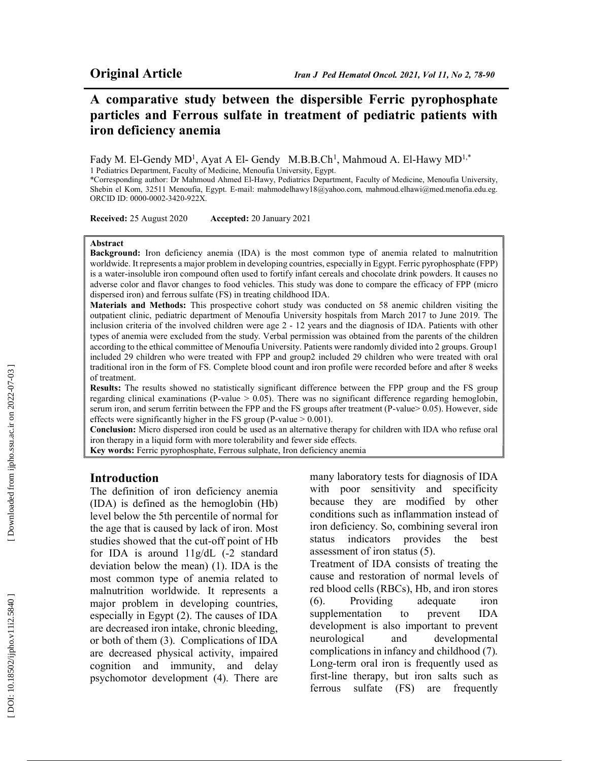Fady M. El-Gendy MD<sup>1</sup>, Ayat A El- Gendy M.B.B.Ch<sup>1</sup>, Mahmoud A. El-Hawy MD<sup>1,\*</sup> 1 Pediatrics Department, Faculty of Medicine, Menoufia University, Egypt.

\*Corresponding author: Dr Mahmoud Ahmed El-Hawy, Pediatrics Department, Faculty of Medicine, Menoufia University, Shebin el Kom, 32511 Menoufia, Egypt. E-mail: mahmodelhawy18@yahoo.com, mahmoud.elhawi@med.menofia.edu.eg. ORCID ID: 0000-0002-3420-922X.

Received: 25 August 2020 Accepted: 20 January 2021

#### Abstract

Background: Iron deficiency anemia (IDA) is the most common type of anemia related to malnutrition worldwide. It represents a major problem in developing countries, especially in Egypt. Ferric pyrophosphate (FPP) is a water-insoluble iron compound often used to fortify infant cereals and chocolate drink powders. It causes no adverse color and flavor changes to food vehicles. This study was done to compare the efficacy of FPP (micro dispersed iron) and ferrous sulfate (FS) in treating childhood IDA.

Materials and Methods: This prospective cohort study was conducted on 58 anemic children visiting the outpatient clinic, pediatric department of Menoufia University hospitals from March 2017 to June 2019. The inclusion criteria of the involved children were age 2 - 12 years and the diagnosis of IDA. Patients with other types of anemia were excluded from the study. Verbal permission was obtained from the parents of the children according to the ethical committee of Menoufia University. Patients were randomly divided into 2 groups. Group1 included 29 children who were treated with FPP and group2 included 29 children who were treated with oral traditional iron in the form of FS. Complete blood count and iron profile were recorded before and after 8 weeks of treatment.

Results: The results showed no statistically significant difference between the FPP group and the FS group regarding clinical examinations (P-value > 0.05). There was no significant difference regarding hemoglobin, serum iron, and serum ferritin between the FPP and the FS groups after treatment (P-value> 0.05). However, side effects were significantly higher in the FS group (P-value > 0.001).

Conclusion: Micro dispersed iron could be used as an alternative therapy for children with IDA who refuse oral iron therapy in a liquid form with more tolerability and fewer side effects.

Key words: Ferric pyrophosphate, Ferrous sulphate, Iron deficiency anemia

### Introduction

The definition of iron deficiency anemia (IDA) is defined as the hemoglobin (Hb) level below the 5th percentile of normal for the age that is caused by lack of iron. Most studies showed that the cut-off point of Hb for IDA is around 11g/dL (-2 standard deviation below the mean) (1). IDA is the most common type of anemia related to malnutrition worldwide. It represents a major problem in developing countries, especially in Egypt (2). The causes of IDA are decreased iron intake, chronic bleeding, or both of them (3). Complications of IDA are decreased physical activity, impaired cognition and immunity, and delay psychomotor development (4). There are many laboratory tests for diagnosis of IDA with poor sensitivity and specificity because they are modified by other conditions such as inflammation instead of iron deficiency. So, combining several iron status indicators provides the best assessment of iron status (5). Treatment of IDA consists of treating the cause and restoration of normal levels of red blood cells (RBCs), Hb, and iron stores

(6). Providing adequate iron supplementation to prevent IDA development is also important to prevent neurological and developmental complications in infancy and childhood (7). Long-term oral iron is frequently used as first-line therapy, but iron salts such as ferrous sulfate (FS) are frequently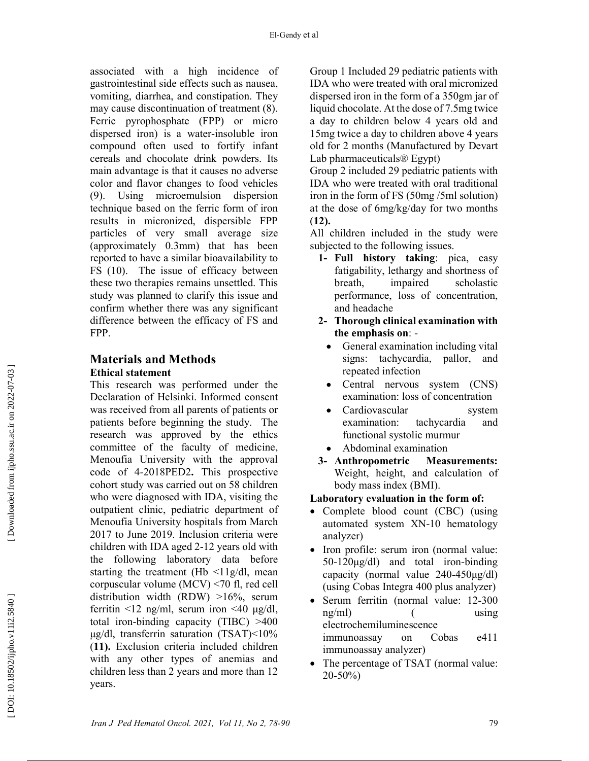associated with a high incidence of gastrointestinal side effects such as nausea, vomiting, diarrhea, and constipation. They may cause discontinuation of treatment (8). Ferric pyrophosphate (FPP) or micro dispersed iron) is a water-insoluble iron compound often used to fortify infant cereals and chocolate drink powders. Its main advantage is that it causes no adverse color and flavor changes to food vehicles (9). Using microemulsion dispersion technique based on the ferric form of iron results in micronized, dispersible FPP particles of very small average size (approximately 0.3mm) that has been reported to have a similar bioavailability to FS (10). The issue of efficacy between these two therapies remains unsettled. This study was planned to clarify this issue and confirm whether there was any significant difference between the efficacy of FS and FPP.

# Materials and Methods Ethical statement

This research was performed under the Declaration of Helsinki. Informed consent was received from all parents of patients or patients before beginning the study. The research was approved by the ethics committee of the faculty of medicine, Menoufia University with the approval code of 4-2018PED2. This prospective cohort study was carried out on 58 children who were diagnosed with IDA, visiting the outpatient clinic, pediatric department of Menoufia University hospitals from March 2017 to June 2019. Inclusion criteria were children with IDA aged 2-12 years old with the following laboratory data before starting the treatment (Hb  $\leq$ 11g/dl, mean corpuscular volume (MCV) <70 fl, red cell distribution width (RDW) >16%, serum ferritin <12 ng/ml, serum iron <40 μg/dl, total iron-binding capacity (TIBC) >400 μg/dl, transferrin saturation (TSAT)<10% (11). Exclusion criteria included children with any other types of anemias and children less than 2 years and more than 12 years.

Group 1 Included 29 pediatric patients with IDA who were treated with oral micronized dispersed iron in the form of a 350gm jar of liquid chocolate. At the dose of 7.5mg twice a day to children below 4 years old and 15mg twice a day to children above 4 years old for 2 months (Manufactured by Devart Lab pharmaceuticals® Egypt)

Group 2 included 29 pediatric patients with IDA who were treated with oral traditional iron in the form of FS (50mg /5ml solution) at the dose of 6mg/kg/day for two months (12).

All children included in the study were subjected to the following issues.

- 1- Full history taking: pica, easy fatigability, lethargy and shortness of breath, impaired scholastic performance, loss of concentration, and headache
- 2- Thorough clinical examination with the emphasis on: -
	- General examination including vital signs: tachycardia, pallor, and repeated infection
	- Central nervous system (CNS) examination: loss of concentration
	- Cardiovascular system examination: tachycardia and functional systolic murmur
	- Abdominal examination
- 3- Anthropometric Measurements: Weight, height, and calculation of body mass index (BMI).
- Laboratory evaluation in the form of:
- Complete blood count (CBC) (using automated system XN-10 hematology analyzer)
- Iron profile: serum iron (normal value: 50-120μg/dl) and total iron-binding capacity (normal value 240-450μg/dl) (using Cobas Integra 400 plus analyzer)
- Serum ferritin (normal value: 12-300 ng/ml) ( using electrochemiluminescence immunoassay on Cobas e411 immunoassay analyzer)
- The percentage of TSAT (normal value: 20-50%)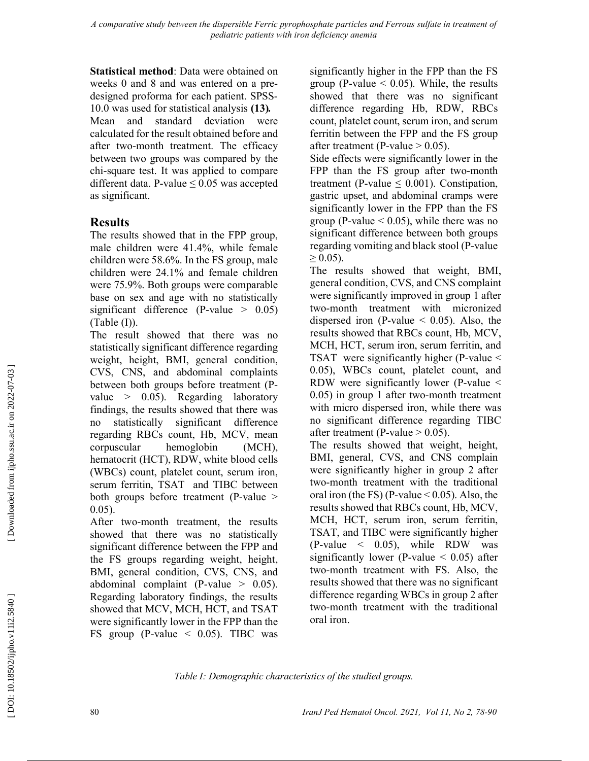Statistical method: Data were obtained on weeks 0 and 8 and was entered on a predesigned proforma for each patient. SPSS-10.0 was used for statistical analysis (13). Mean and standard deviation were calculated for the result obtained before and after two-month treatment. The efficacy between two groups was compared by the chi-square test. It was applied to compare different data. P-value  $\leq 0.05$  was accepted as significant.

# Results

The results showed that in the FPP group, male children were 41.4%, while female children were 58.6%. In the FS group, male children were 24.1% and female children were 75.9%. Both groups were comparable base on sex and age with no statistically significant difference (P-value  $> 0.05$ )  $(Table (I)).$ 

The result showed that there was no statistically significant difference regarding weight, height, BMI, general condition, CVS, CNS, and abdominal complaints between both groups before treatment (Pvalue  $> 0.05$ ). Regarding laboratory findings, the results showed that there was no statistically significant difference regarding RBCs count, Hb, MCV, mean corpuscular hemoglobin (MCH), hematocrit (HCT), RDW, white blood cells (WBCs) count, platelet count, serum iron, serum ferritin, TSAT and TIBC between both groups before treatment (P-value > 0.05).

After two-month treatment, the results showed that there was no statistically significant difference between the FPP and the FS groups regarding weight, height, BMI, general condition, CVS, CNS, and abdominal complaint (P-value  $> 0.05$ ). Regarding laboratory findings, the results showed that MCV, MCH, HCT, and TSAT were significantly lower in the FPP than the FS group (P-value < 0.05). TIBC was

significantly higher in the FPP than the FS group (P-value  $\leq$  0.05). While, the results showed that there was no significant difference regarding Hb, RDW, RBCs count, platelet count, serum iron, and serum ferritin between the FPP and the FS group after treatment (P-value  $> 0.05$ ).

Side effects were significantly lower in the FPP than the FS group after two-month treatment (P-value  $\leq$  0.001). Constipation, gastric upset, and abdominal cramps were significantly lower in the FPP than the FS group (P-value  $< 0.05$ ), while there was no significant difference between both groups regarding vomiting and black stool (P-value  $\geq 0.05$ ).

The results showed that weight, BMI, general condition, CVS, and CNS complaint were significantly improved in group 1 after two-month treatment with micronized dispersed iron (P-value  $\leq$  0.05). Also, the results showed that RBCs count, Hb, MCV, MCH, HCT, serum iron, serum ferritin, and TSAT were significantly higher (P-value < 0.05), WBCs count, platelet count, and RDW were significantly lower (P-value < 0.05) in group 1 after two-month treatment with micro dispersed iron, while there was no significant difference regarding TIBC after treatment (P-value  $> 0.05$ ).

The results showed that weight, height, BMI, general, CVS, and CNS complain were significantly higher in group 2 after two-month treatment with the traditional oral iron (the FS) (P-value  $\leq$  0.05). Also, the results showed that RBCs count, Hb, MCV, MCH, HCT, serum iron, serum ferritin, TSAT, and TIBC were significantly higher  $(P-value < 0.05)$ , while RDW was significantly lower (P-value  $\leq$  0.05) after two-month treatment with FS. Also, the results showed that there was no significant difference regarding WBCs in group 2 after two-month treatment with the traditional oral iron.

Table I: Demographic characteristics of the studied groups.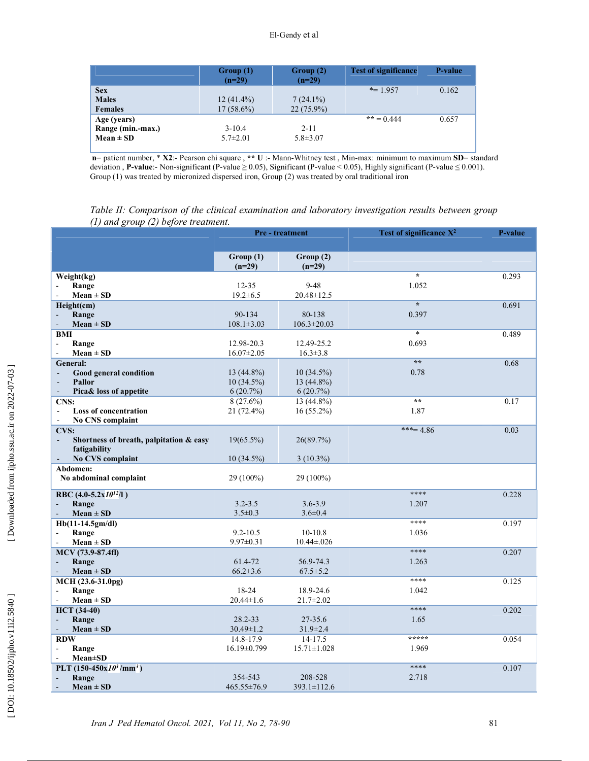|                   | Group(1)<br>$(n=29)$ | Group(2)<br>$(n=29)$ | <b>Test of significance</b> | <b>P</b> -value |
|-------------------|----------------------|----------------------|-----------------------------|-----------------|
| <b>Sex</b>        |                      |                      | $* = 1.957$                 | 0.162           |
| <b>Males</b>      | $12(41.4\%)$         | $7(24.1\%)$          |                             |                 |
| <b>Females</b>    | $17(58.6\%)$         | $22(75.9\%)$         |                             |                 |
| Age (years)       |                      |                      | ** = 0.444                  | 0.657           |
| Range (min.-max.) | $3 - 10.4$           | $2 - 11$             |                             |                 |
| $Mean \pm SD$     | $5.7 \pm 2.01$       | $5.8 \pm 3.07$       |                             |                 |
|                   |                      |                      |                             |                 |

n= patient number, \* X2:- Pearson chi square , \*\* U :- Mann-Whitney test , Min-max: minimum to maximum SD= standard deviation , P-value:- Non-significant (P-value ≥ 0.05), Significant (P-value < 0.05), Highly significant (P-value ≤ 0.001). Group (1) was treated by micronized dispersed iron, Group (2) was treated by oral traditional iron

Table II: Comparison of the clinical examination and laboratory investigation results between group (1) and group (2) before treatment.

|                                                  | <b>Pre-treatment</b>           |                      | Test of significance $X^2$ | P-value |
|--------------------------------------------------|--------------------------------|----------------------|----------------------------|---------|
|                                                  |                                |                      |                            |         |
|                                                  | Group(1)<br>$(n=29)$           | Group(2)<br>$(n=29)$ |                            |         |
| Weight(kg)                                       |                                |                      | $\star$                    | 0.293   |
| Range                                            | $12 - 35$                      | $9 - 48$             | 1.052                      |         |
| $Mean \pm SD$                                    | $19.2 \pm 6.5$                 | $20.48 \pm 12.5$     |                            |         |
| Height(cm)                                       |                                |                      | $\overline{\cdot}$         | 0.691   |
| Range                                            | 90-134                         | 80-138               | 0.397                      |         |
| $Mean \pm SD$<br>$\overline{\phantom{a}}$        | $108.1 \pm 3.03$               | $106.3 \pm 20.03$    | $\ast$                     |         |
| <b>BMI</b>                                       |                                | 12.49-25.2           | 0.693                      | 0.489   |
| Range<br>ä,<br>$Mean \pm SD$<br>$\sim$           | 12.98-20.3<br>$16.07 \pm 2.05$ | $16.3 \pm 3.8$       |                            |         |
| <b>General:</b>                                  |                                |                      | $\star\star$               | 0.68    |
| Good general condition<br>÷,                     | $13(44.8\%)$                   | $10(34.5\%)$         | 0.78                       |         |
| Pallor                                           | 10 (34.5%)                     | 13 (44.8%)           |                            |         |
| Pica& loss of appetite<br>$\overline{a}$         | 6(20.7%)                       | 6(20.7%)             |                            |         |
| CNS:                                             | $8(27.6\%)$                    | 13 (44.8%)           | $\star\star$               | 0.17    |
| <b>Loss of concentration</b><br>Ξ                | 21 (72.4%)                     | $16(55.2\%)$         | 1.87                       |         |
| No CNS complaint<br>$\blacksquare$               |                                |                      |                            |         |
| <b>CVS:</b>                                      |                                |                      | $***=4.86$                 | 0.03    |
| Shortness of breath, palpitation & easy          | $19(65.5\%)$                   | 26(89.7%)            |                            |         |
| fatigability                                     |                                |                      |                            |         |
| No CVS complaint<br>$\qquad \qquad \blacksquare$ | $10(34.5\%)$                   | $3(10.3\%)$          |                            |         |
| Abdomen:                                         |                                |                      |                            |         |
| No abdominal complaint                           | 29 (100%)                      | 29 (100%)            |                            |         |
| RBC $(4.0-5.2x10^{12}/1)$                        |                                |                      | ****                       | 0.228   |
| Range<br>$\blacksquare$                          | $3.2 - 3.5$                    | $3.6 - 3.9$          | 1.207                      |         |
| $Mean \pm SD$                                    | $3.5 \pm 0.3$                  | $3.6 \pm 0.4$        |                            |         |
| Hb(11-14.5gm/dl)                                 |                                |                      | ****                       | 0.197   |
| Range<br>$\blacksquare$                          | $9.2 - 10.5$                   | 10-10.8              | 1.036                      |         |
| $Mean \pm SD$                                    | $9.97 \pm 0.31$                | $10.44 \pm 0.026$    |                            |         |
| MCV (73.9-87.4fl)                                |                                |                      | ****                       | 0.207   |
| Range<br>$\blacksquare$                          | 61.4-72                        | 56.9-74.3            | 1.263                      |         |
| $Mean \pm SD$                                    | $66.2 \pm 3.6$                 | $67.5 \pm 5.2$       |                            |         |
| MCH (23.6-31.0pg)                                |                                |                      | ****                       | 0.125   |
| Range<br>$\sim$                                  | 18-24                          | 18.9-24.6            | 1.042                      |         |
| $Mean \pm SD$                                    | $20.44 \pm 1.6$                | 21.7±2.02            |                            |         |
| <b>HCT</b> (34-40)                               |                                |                      | ****                       | 0.202   |
| Range                                            | 28.2-33                        | 27-35.6              | 1.65                       |         |
| $Mean \pm SD$                                    | $30.49 \pm 1.2$                | $31.9 \pm 2.4$       |                            |         |
| <b>RDW</b>                                       | 14.8-17.9                      | 14-17.5              | *****                      | 0.054   |
| Range<br>$\blacksquare$                          | 16.19±0.799                    | $15.71 \pm 1.028$    | 1.969                      |         |
| <b>Mean</b> ±SD                                  |                                |                      | ****                       |         |
| PLT $(150-450x10^3/\text{mm}^3)$                 |                                |                      |                            | 0.107   |
| Range                                            | 354-543                        | 208-528              | 2.718                      |         |
| $Mean \pm SD$                                    | $465.55 \pm 76.9$              | $393.1 \pm 112.6$    |                            |         |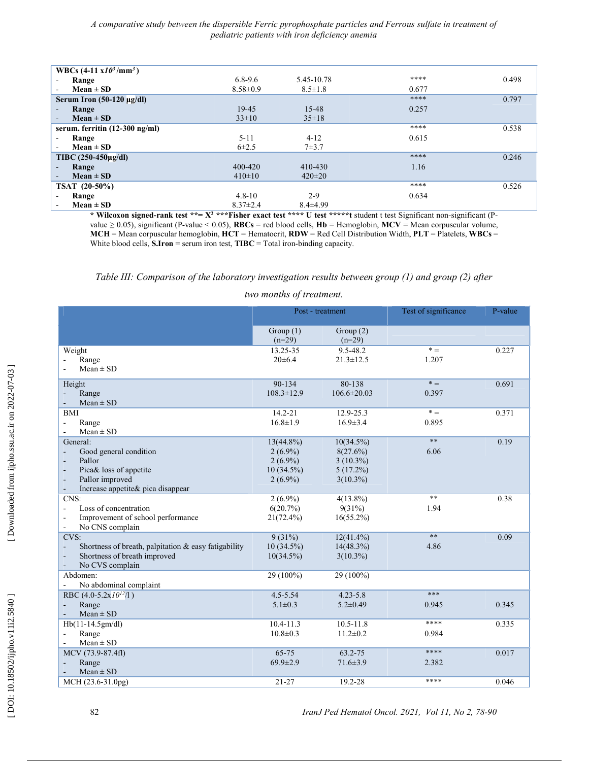|                          | WBCs $(4-11 \times 10^3/\text{mm}^3)$ |                |                |       |       |
|--------------------------|---------------------------------------|----------------|----------------|-------|-------|
|                          | Range                                 | $6.8 - 9.6$    | 5.45-10.78     | ****  | 0.498 |
| ۰                        | $Mean \pm SD$                         | $8.58 \pm 0.9$ | $8.5 \pm 1.8$  | 0.677 |       |
|                          | Serum Iron $(50-120 \mu g/dl)$        |                |                | ****  | 0.797 |
| ۰.                       | Range                                 | $19-45$        | 15-48          | 0.257 |       |
| ۰.                       | $Mean \pm SD$                         | $33\pm10$      | $35 \pm 18$    |       |       |
|                          | serum. ferritin (12-300 ng/ml)        |                |                | ****  | 0.538 |
|                          | Range                                 | $5 - 11$       | $4 - 12$       | 0.615 |       |
|                          | Mean $\pm$ SD                         | $6\pm2.5$      | $7 + 3.7$      |       |       |
|                          | TIBC $(250-450\mu g/dl)$              |                |                | ****  | 0.246 |
| $\overline{\phantom{a}}$ | Range                                 | $400 - 420$    | $410 - 430$    | 1.16  |       |
| ۰.                       | $Mean \pm SD$                         | $410\pm10$     | $420 \pm 20$   |       |       |
|                          | TSAT (20-50%)                         |                |                | ****  | 0.526 |
|                          | Range                                 | $4.8 - 10$     | $2 - 9$        | 0.634 |       |
|                          | $Mean \pm SD$                         | $8.37 \pm 2.4$ | $8.4 \pm 4.99$ |       |       |

\* Wilcoxon signed-rank test \*\*=  $X^2$  \*\*\*Fisher exact test \*\*\*\* U test \*\*\*\*\*t student t test Significant non-significant (Pvalue  $\geq$  0.05), significant (P-value < 0.05), RBCs = red blood cells, Hb = Hemoglobin, MCV = Mean corpuscular volume, MCH = Mean corpuscular hemoglobin, HCT = Hematocrit, RDW = Red Cell Distribution Width, PLT = Platelets, WBCs = White blood cells,  $S$ . Iron = serum iron test,  $T$ IBC = Total iron-binding capacity.

### Table III: Comparison of the laboratory investigation results between group (1) and group (2) after

#### two months of treatment.

|                                                                        |                         | Post - treatment        | Test of significance | P-value |
|------------------------------------------------------------------------|-------------------------|-------------------------|----------------------|---------|
|                                                                        | Group $(1)$<br>$(n=29)$ | Group $(2)$<br>$(n=29)$ |                      |         |
| Weight                                                                 | 13.25-35                | 9.5-48.2                | $* =$                | 0.227   |
| Range                                                                  | $20 \pm 6.4$            | $21.3 \pm 12.5$         | 1.207                |         |
| $Mean \pm SD$                                                          |                         |                         |                      |         |
| Height                                                                 | 90-134                  | 80-138                  | $* =$                | 0.691   |
| Range<br>÷,                                                            | $108.3 \pm 12.9$        | $106.6 \pm 20.03$       | 0.397                |         |
| $Mean \pm SD$<br>$\overline{\phantom{a}}$                              |                         |                         |                      |         |
| <b>BMI</b>                                                             | $14.2 - 21$             | 12.9-25.3               | $* =$                | 0.371   |
| Range<br>$\blacksquare$                                                | $16.8 \pm 1.9$          | $16.9 \pm 3.4$          | 0.895                |         |
| $Mean \pm SD$<br>$\blacksquare$                                        |                         |                         |                      |         |
| General:                                                               | $13(44.8\%)$            | $10(34.5\%)$            | $**$                 | 0.19    |
| Good general condition<br>$\blacksquare$                               | $2(6.9\%)$              | 8(27.6%)                | 6.06                 |         |
| Pallor<br>$\blacksquare$                                               | $2(6.9\%)$              | $3(10.3\%)$             |                      |         |
| Pica& loss of appetite<br>$\overline{\phantom{a}}$                     | $10(34.5\%)$            | $5(17.2\%)$             |                      |         |
| Pallor improved<br>$\overline{\phantom{a}}$                            | $2(6.9\%)$              | $3(10.3\%)$             |                      |         |
| Increase appetite& pica disappear<br>$\blacksquare$                    |                         |                         |                      |         |
| CNS:                                                                   | $2(6.9\%)$              | $4(13.8\%)$             | $**$                 | 0.38    |
| Loss of concentration<br>$\blacksquare$                                | 6(20.7%)                | $9(31\%)$               | 1.94                 |         |
| Improvement of school performance<br>$\blacksquare$                    | $21(72.4\%)$            | $16(55.2\%)$            |                      |         |
| No CNS complain<br>$\blacksquare$                                      |                         |                         |                      |         |
| CVS:                                                                   | 9(31%)                  | $12(41.4\%)$            | $***$                | 0.09    |
| Shortness of breath, palpitation & easy fatigability<br>$\blacksquare$ | $10(34.5\%)$            | $14(48.3\%)$            | 4.86                 |         |
| Shortness of breath improved<br>$\overline{\phantom{a}}$               | $10(34.5\%)$            | $3(10.3\%)$             |                      |         |
| No CVS complain<br>$\blacksquare$                                      |                         |                         |                      |         |
| Abdomen:                                                               | 29 (100%)               | 29 (100%)               |                      |         |
| No abdominal complaint                                                 |                         |                         |                      |         |
| RBC (4.0-5.2x $10^{12}/1$ )                                            | $4.5 - 5.54$            | $4.23 - 5.8$            | ***                  |         |
| Range<br>$\blacksquare$                                                | $5.1 \pm 0.3$           | $5.2 \pm 0.49$          | 0.945                | 0.345   |
| $Mean \pm SD$<br>$\blacksquare$                                        |                         |                         |                      |         |
| Hb(11-14.5gm/dl)                                                       | $10.4 - 11.3$           | $10.5 - 11.8$           | ****                 | 0.335   |
| Range<br>$\blacksquare$                                                | $10.8 \pm 0.3$          | $11.2 \pm 0.2$          | 0.984                |         |
| $Mean \pm SD$                                                          |                         |                         |                      |         |
| MCV (73.9-87.4fl)                                                      | $65 - 75$               | 63.2-75                 | ****                 | 0.017   |
| Range                                                                  | $69.9 \pm 2.9$          | $71.6 \pm 3.9$          | 2.382                |         |
| $Mean \pm SD$                                                          |                         |                         |                      |         |
| $MCH (23.6-31.0pg)$                                                    | $21 - 27$               | 19.2-28                 | ****                 | 0.046   |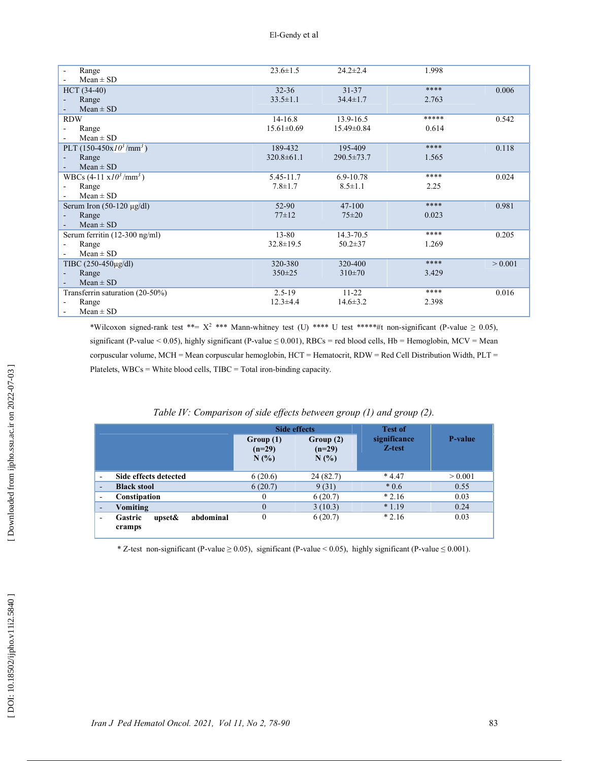| Range                                   | $23.6 \pm 1.5$   | $24.2 \pm 2.4$   | 1.998 |         |
|-----------------------------------------|------------------|------------------|-------|---------|
| $Mean \pm SD$                           |                  |                  |       |         |
| $HCT (34-40)$                           | $32 - 36$        | $31 - 37$        | ****  | 0.006   |
| Range                                   | $33.5 \pm 1.1$   | $34.4 \pm 1.7$   | 2.763 |         |
| $Mean \pm SD$                           |                  |                  |       |         |
| <b>RDW</b>                              | $14 - 16.8$      | 13.9-16.5        | ***** | 0.542   |
| Range                                   | $15.61 \pm 0.69$ | 15.49±0.84       | 0.614 |         |
| $Mean \pm SD$                           |                  |                  |       |         |
| PLT $(150-450x10^3/\text{mm}^3)$        | 189-432          | 195-409          | ****  | 0.118   |
| Range                                   | $320.8 \pm 61.1$ | $290.5 \pm 73.7$ | 1.565 |         |
| $Mean \pm SD$                           |                  |                  |       |         |
| WBCs $(4-11 \text{ x}10^3/\text{mm}^3)$ | 5.45-11.7        | 6.9-10.78        | ****  | 0.024   |
| Range                                   | $7.8 \pm 1.7$    | $8.5 \pm 1.1$    | 2.25  |         |
| $Mean \pm SD$                           |                  |                  |       |         |
| Serum Iron $(50-120 \text{ µg/dl})$     | 52-90            | $47 - 100$       | ****  | 0.981   |
| Range                                   | $77 + 12$        | $75 \pm 20$      | 0.023 |         |
| $Mean \pm SD$                           |                  |                  |       |         |
| Serum ferritin (12-300 ng/ml)           | $13 - 80$        | $14.3 - 70.5$    | ****  | 0.205   |
| Range                                   | $32.8 \pm 19.5$  | $50.2 \pm 37$    | 1.269 |         |
| $Mean \pm SD$                           |                  |                  |       |         |
| TIBC $(250-450\mu\text{g/dl})$          | 320-380          | 320-400          | ****  | > 0.001 |
| Range                                   | $350 \pm 25$     | $310\pm70$       | 3.429 |         |
| $Mean \pm SD$                           |                  |                  |       |         |
| Transferrin saturation (20-50%)         | $2.5 - 19$       | $11 - 22$        | ****  | 0.016   |
| Range                                   | $12.3 \pm 4.4$   | $14.6 \pm 3.2$   | 2.398 |         |
| $Mean \pm SD$                           |                  |                  |       |         |

\*Wilcoxon signed-rank test \*\*=  $X^2$  \*\*\* Mann-whitney test (U) \*\*\*\* U test \*\*\*\*\*#t non-significant (P-value  $\geq 0.05$ ), significant (P-value < 0.05), highly significant (P-value  $\leq$  0.001), RBCs = red blood cells, Hb = Hemoglobin, MCV = Mean corpuscular volume, MCH = Mean corpuscular hemoglobin, HCT = Hematocrit, RDW = Red Cell Distribution Width, PLT = Platelets, WBCs = White blood cells, TIBC = Total iron-binding capacity.

|                          |                                                     |                                  | <b>Side effects</b>         |                        |                 |
|--------------------------|-----------------------------------------------------|----------------------------------|-----------------------------|------------------------|-----------------|
|                          |                                                     | Group (1)<br>$(n=29)$<br>$N(\%)$ | Group(2)<br>$(n=29)$<br>N(% | significance<br>Z-test | <b>P</b> -value |
| $\overline{\phantom{0}}$ | Side effects detected                               | 6(20.6)                          | 24(82.7)                    | $*4.47$                | > 0.001         |
| $\overline{\phantom{a}}$ | <b>Black stool</b>                                  | 6(20.7)                          | 9(31)                       | $*0.6$                 | 0.55            |
| $\overline{\phantom{a}}$ | Constipation                                        | 0                                | 6(20.7)                     | $*2.16$                | 0.03            |
| $\overline{\phantom{a}}$ | Vomiting                                            | $\Omega$                         | 3(10.3)                     | $*1.19$                | 0.24            |
| $\blacksquare$           | abdominal<br><b>Gastric</b><br>upset $\&$<br>cramps | $\theta$                         | 6(20.7)                     | $*2.16$                | 0.03            |

### Table IV: Comparison of side effects between group (1) and group (2).

\* Z-test non-significant (P-value ≥ 0.05), significant (P-value < 0.05), highly significant (P-value ≤ 0.001).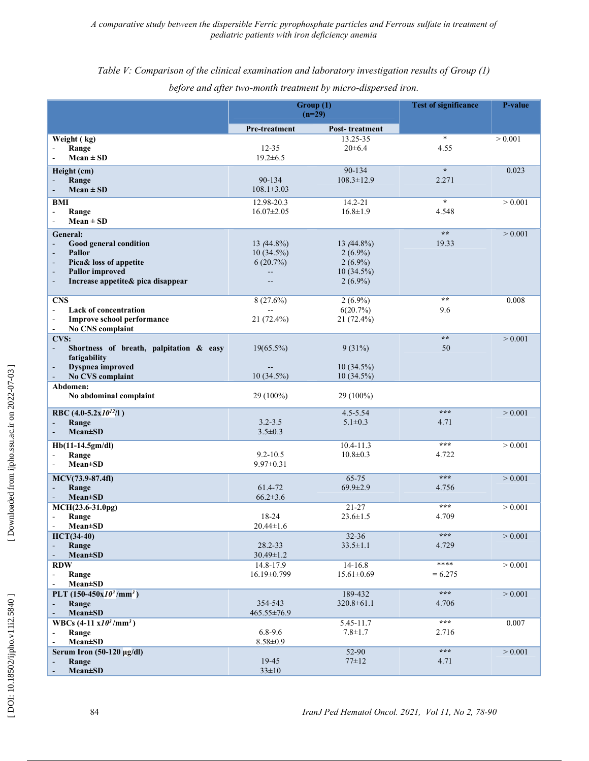## Table V: Comparison of the clinical examination and laboratory investigation results of Group (1)

|                                                                                                                                                                                                      | Group (1)<br>$(n=29)$                                 |                                                                         | <b>Test of significance</b>  | <b>P-value</b> |
|------------------------------------------------------------------------------------------------------------------------------------------------------------------------------------------------------|-------------------------------------------------------|-------------------------------------------------------------------------|------------------------------|----------------|
|                                                                                                                                                                                                      | Pre-treatment                                         | Post-treatment                                                          |                              |                |
| Weight (kg)<br>Range<br>$Mean \pm SD$                                                                                                                                                                | $12 - 35$<br>$19.2 \pm 6.5$                           | 13.25-35<br>$20 \pm 6.4$                                                | $\ast$<br>4.55               | > 0.001        |
| Height (cm)                                                                                                                                                                                          |                                                       | 90-134                                                                  | $\star$                      | 0.023          |
| Range<br>$Mean \pm SD$                                                                                                                                                                               | 90-134<br>$108.1 \pm 3.03$                            | $108.3 \pm 12.9$                                                        | 2.271                        |                |
| BMI<br>Range<br>$\overline{\phantom{a}}$<br>$Mean \pm SD$<br>$\sim$                                                                                                                                  | 12.98-20.3<br>$16.07 \pm 2.05$                        | 14.2-21<br>$16.8 \pm 1.9$                                               | $\star$<br>4.548             | > 0.001        |
| General:<br>Good general condition<br>$\overline{\phantom{a}}$<br><b>Pallor</b><br>Pica& loss of appetite<br><b>Pallor</b> improved<br>$\overline{\phantom{a}}$<br>Increase appetite& pica disappear | $13(44.8\%)$<br>$10(34.5\%)$<br>6(20.7%)<br>--<br>$-$ | 13 $(44.8\%)$<br>$2(6.9\%)$<br>$2(6.9\%)$<br>$10(34.5\%)$<br>$2(6.9\%)$ | $\star\star$<br>19.33        | > 0.001        |
| <b>CNS</b><br><b>Lack of concentration</b><br>$\blacksquare$<br>Improve school performance<br>$\sim$<br>No CNS complaint<br>$\blacksquare$                                                           | $8(27.6\%)$<br>21 (72.4%)                             | $2(6.9\%)$<br>6(20.7%)<br>21 (72.4%)                                    | $\star \star$<br>9.6         | 0.008          |
| CVS:<br>Shortness of breath, palpitation & easy<br>$\sim$<br>fatigability                                                                                                                            | $19(65.5\%)$                                          | $9(31\%)$                                                               | $\star \star$<br>50          | > 0.001        |
| Dyspnea improved<br>No CVS complaint                                                                                                                                                                 | $10(34.5\%)$                                          | $10(34.5\%)$<br>$10(34.5\%)$                                            |                              |                |
| Abdomen:<br>No abdominal complaint                                                                                                                                                                   | 29 (100%)                                             | 29 (100%)                                                               |                              |                |
| RBC (4.0-5.2x $10^{12}/1$ )<br>Range<br><b>Mean±SD</b>                                                                                                                                               | $3.2 - 3.5$<br>$3.5 \pm 0.3$                          | $4.5 - 5.54$<br>$5.1 \pm 0.3$                                           | $* * *$<br>4.71              | > 0.001        |
| Hb(11-14.5gm/dl)<br>Range<br>$Mean \pm SD$                                                                                                                                                           | $9.2 - 10.5$<br>$9.97 \pm 0.31$                       | $10.4 - 11.3$<br>$10.8 \pm 0.3$                                         | $* * *$<br>4.722             | > 0.001        |
| MCV(73.9-87.4fl)<br>Range<br>$Mean \pm SD$                                                                                                                                                           | 61.4-72<br>$66.2 \pm 3.6$                             | 65-75<br>$69.9 \pm 2.9$                                                 | $* * *$<br>4.756             | > 0.001        |
| MCH(23.6-31.0pg)<br>Range<br><b>Mean</b> ±SD                                                                                                                                                         | 18-24<br>$20.44 \pm 1.6$                              | 21-27<br>$23.6 \pm 1.5$                                                 | $* * *$<br>4.709             | > 0.001        |
| $HCT(34-40)$<br>Range<br>$Mean \pm SD$                                                                                                                                                               | 28.2-33<br>$30.49 \pm 1.2$                            | $32 - 36$<br>$33.5 \pm 1.1$                                             | $\star \star \star$<br>4.729 | > 0.001        |
| $\mathbf{R}\mathbf{D}\mathbf{W}$<br>Range<br>$\overline{\phantom{a}}$<br><b>Mean</b> ±SD<br>$\sim$                                                                                                   | 14.8-17.9<br>16.19±0.799                              | 14-16.8<br>$15.61 \pm 0.69$                                             | ****<br>$= 6.275$            | > 0.001        |
| PLT $(150-450x10^3/\text{mm}^3)$<br>Range<br>$Mean \pm SD$                                                                                                                                           | 354-543<br>465.55±76.9                                | 189-432<br>$320.8 \pm 61.1$                                             | $***$<br>4.706               | > 0.001        |
| WBCs $(4-11 \text{ x}10^3/\text{mm}^3)$<br>Range<br>$\blacksquare$<br><b>Mean</b> ±SD                                                                                                                | $6.8 - 9.6$<br>$8.58 \pm 0.9$                         | 5.45-11.7<br>$7.8 + 1.7$                                                | $* * *$<br>2.716             | 0.007          |
| Serum Iron $(50-120 \mu g/dl)$<br>Range<br>$Mean \pm SD$                                                                                                                                             | 19-45<br>$33 \pm 10$                                  | 52-90<br>$77 + 12$                                                      | $***$<br>4.71                | > 0.001        |

## before and after two-month treatment by micro-dispersed iron.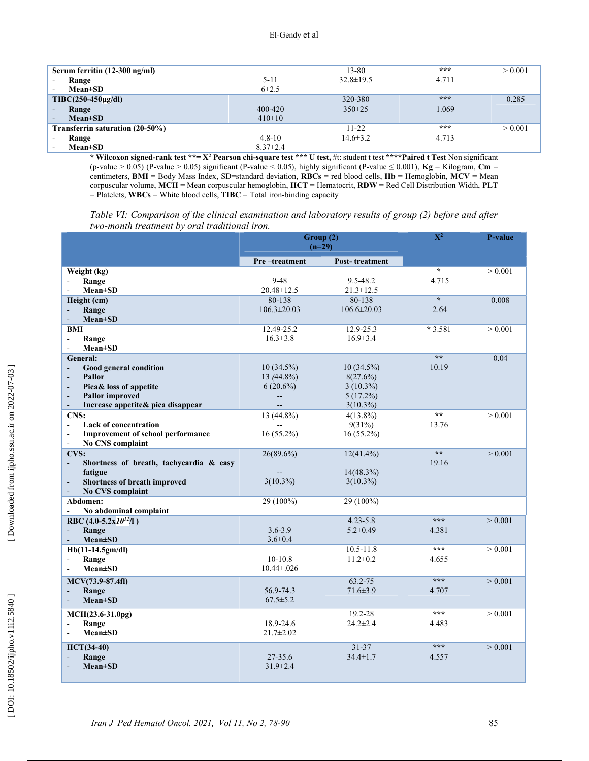| Serum ferritin (12-300 ng/ml)             |                | 13-80           | ***   | > 0.001 |
|-------------------------------------------|----------------|-----------------|-------|---------|
| Range<br>$\sim$                           | $5 - 11$       | $32.8 \pm 19.5$ | 4.711 |         |
| <b>Mean±SD</b><br>$\sim$                  | $6\pm2.5$      |                 |       |         |
| $T\text{IBC}(250-450\mu\text{g/dl})$      |                | 320-380         | ***   | 0.285   |
| Range<br>$\overline{\phantom{a}}$         | 400-420        | $350 \pm 25$    | 1.069 |         |
| $Mean \pm SD$<br>$\overline{\phantom{a}}$ | $410\pm10$     |                 |       |         |
| Transferrin saturation (20-50%)           |                | $11 - 22$       | ***   | > 0.001 |
| Range                                     | $4.8 - 10$     | $14.6 \pm 3.2$  | 4.713 |         |
| $Mean \pm SD$                             | $8.37 \pm 2.4$ |                 |       |         |

\* Wilcoxon signed-rank test \*\*= X<sup>2</sup> Pearson chi-square test \*\*\* U test, #t: student t test \*\*\*\*Paired t Test Non significant (p-value > 0.05) (P-value > 0.05) significant (P-value < 0.05), highly significant (P-value  $\leq$  0.001), Kg = Kilogram, Cm = centimeters, BMI = Body Mass Index, SD=standard deviation, RBCs = red blood cells, Hb = Hemoglobin, MCV = Mean corpuscular volume, MCH = Mean corpuscular hemoglobin, HCT = Hematocrit, RDW = Red Cell Distribution Width, PLT  $=$  Platelets, WBCs = White blood cells, TIBC = Total iron-binding capacity

Table VI: Comparison of the clinical examination and laboratory results of group (2) before and after two-month treatment by oral traditional iron.

|                                                                     | Group (2)<br>$(n=29)$ |                   | $\overline{X^2}$        | <b>P-value</b> |
|---------------------------------------------------------------------|-----------------------|-------------------|-------------------------|----------------|
|                                                                     | Pre-treatment         | Post-treatment    |                         |                |
| Weight (kg)                                                         |                       |                   | $\overline{\mathbf{x}}$ | > 0.001        |
| Range                                                               | $9 - 48$              | 9.5-48.2          | 4.715                   |                |
| $Mean \pm SD$                                                       | $20.48 \pm 12.5$      | $21.3 \pm 12.5$   |                         |                |
| Height (cm)                                                         | 80-138                | 80-138            | $\star$                 | 0.008          |
| Range                                                               | $106.3 \pm 20.03$     | $106.6 \pm 20.03$ | 2.64                    |                |
| <b>Mean</b> ±SD                                                     |                       |                   |                         |                |
| BMI                                                                 | 12.49-25.2            | 12.9-25.3         | $*3.581$                | > 0.001        |
| Range<br>$\qquad \qquad \blacksquare$                               | $16.3 \pm 3.8$        | $16.9 \pm 3.4$    |                         |                |
| $Mean \pm SD$                                                       |                       |                   |                         |                |
| General:                                                            |                       |                   | $**$                    | 0.04           |
| Good general condition<br>L.                                        | $10(34.5\%)$          | $10(34.5\%)$      | 10.19                   |                |
| <b>Pallor</b><br>$\overline{a}$                                     | 13 (44.8%)            | 8(27.6%)          |                         |                |
| Pica& loss of appetite<br>$\blacksquare$                            | $6(20.6\%)$           | $3(10.3\%)$       |                         |                |
| <b>Pallor improved</b>                                              | --                    | $5(17.2\%)$       |                         |                |
| Increase appetite& pica disappear<br>$\blacksquare$                 | $\overline{a}$        | $3(10.3\%)$       |                         |                |
| CNS:                                                                | 13 (44.8%)            | $4(13.8\%)$       | $**$                    | > 0.001        |
| <b>Lack of concentration</b><br>$\frac{1}{2}$                       |                       | 9(31%)            | 13.76                   |                |
| <b>Improvement of school performance</b><br>$\overline{a}$          | $16(55.2\%)$          | $16(55.2\%)$      |                         |                |
| No CNS complaint<br>$\overline{a}$                                  |                       |                   |                         |                |
| CVS:                                                                | $26(89.6\%)$          | $12(41.4\%)$      | $\star\star$            | > 0.001        |
| Shortness of breath, tachycardia & easy<br>$\overline{\phantom{a}}$ |                       |                   | 19.16                   |                |
| fatigue                                                             |                       | 14(48.3%)         |                         |                |
| Shortness of breath improved<br>$\overline{a}$                      | $3(10.3\%)$           | $3(10.3\%)$       |                         |                |
| No CVS complaint<br>$\blacksquare$                                  |                       |                   |                         |                |
| Abdomen:                                                            | $29(100\%)$           | 29 (100%)         |                         |                |
| No abdominal complaint                                              |                       |                   |                         |                |
| RBC $(4.0-5.2x10^{12}/1)$                                           |                       | $4.23 - 5.8$      | ***                     | > 0.001        |
| Range<br>$\blacksquare$                                             | $3.6 - 3.9$           | $5.2 \pm 0.49$    | 4.381                   |                |
| $Mean \pm SD$                                                       | $3.6 \pm 0.4$         |                   |                         |                |
| Hb(11-14.5gm/dl)                                                    |                       | $10.5 - 11.8$     | $* * *$                 | > 0.001        |
| Range<br>$\equiv$                                                   | $10-10.8$             | $11.2 \pm 0.2$    | 4.655                   |                |
| <b>Mean</b> ±SD                                                     | $10.44 \pm 0.026$     |                   |                         |                |
| MCV(73.9-87.4fl)                                                    |                       | 63.2-75           | ***                     | > 0.001        |
| Range<br>$\overline{a}$                                             | 56.9-74.3             | $71.6 \pm 3.9$    | 4.707                   |                |
| $Mean \pm SD$                                                       | $67.5 \pm 5.2$        |                   |                         |                |
| $MCH(23.6-31.0pg)$                                                  |                       | 19.2-28           | ***                     | > 0.001        |
| Range<br>÷,                                                         | 18.9-24.6             | $24.2 \pm 2.4$    | 4.483                   |                |
| <b>Mean</b> ±SD<br>ä,                                               | $21.7 \pm 2.02$       |                   |                         |                |
|                                                                     |                       |                   |                         |                |
| <b>HCT(34-40)</b>                                                   |                       | $31 - 37$         | ***                     | > 0.001        |
| Range                                                               | 27-35.6               | $34.4 \pm 1.7$    | 4.557                   |                |
| $Mean \pm SD$                                                       | $31.9 \pm 2.4$        |                   |                         |                |
|                                                                     |                       |                   |                         |                |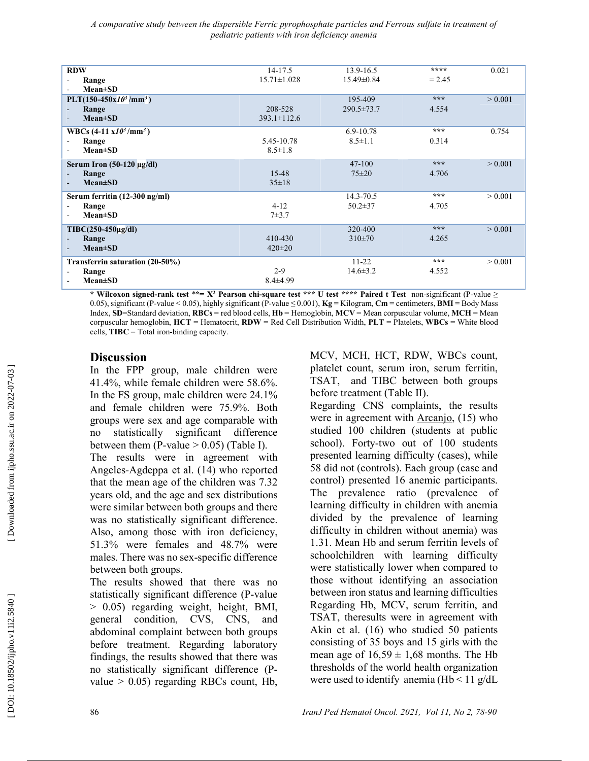| <b>RDW</b>                             | 14-17.5           | 13.9-16.5        | ****     | 0.021   |
|----------------------------------------|-------------------|------------------|----------|---------|
| Range                                  | $15.71 \pm 1.028$ | 15.49±0.84       | $= 2.45$ |         |
| $Mean \pm SD$                          |                   |                  |          |         |
| PLT(150-450x $10^3$ /mm <sup>3</sup> ) |                   | 195-409          | ***      | > 0.001 |
| Range                                  | 208-528           | $290.5 \pm 73.7$ | 4.554    |         |
| $Mean \pm SD$                          | $393.1 \pm 112.6$ |                  |          |         |
| WBCs $(4-11 \times 10^3/\text{mm}^3)$  |                   | 6.9-10.78        | ***      | 0.754   |
| Range                                  | 5.45-10.78        | $8.5 \pm 1.1$    | 0.314    |         |
| $Mean \pm SD$                          | $8.5 \pm 1.8$     |                  |          |         |
| Serum Iron $(50-120 \mu g/dl)$         |                   | $47-100$         | ***      | > 0.001 |
| Range                                  | $15 - 48$         | $75 \pm 20$      | 4.706    |         |
| $Mean \pm SD$                          | $35 \pm 18$       |                  |          |         |
|                                        |                   |                  |          |         |
| Serum ferritin (12-300 ng/ml)          |                   | 14.3-70.5        | ***      | > 0.001 |
| Range                                  | $4 - 12$          | $50.2 \pm 37$    | 4.705    |         |
| $Mean \pm SD$                          | $7 + 3.7$         |                  |          |         |
| $T\text{IBC}(250-450\mu\text{g/dl})$   |                   | 320-400          | ***      | > 0.001 |
| Range                                  | 410-430           | $310\pm70$       | 4.265    |         |
| $Mean \pm SD$                          | $420 \pm 20$      |                  |          |         |
|                                        |                   |                  |          |         |
| Transferrin saturation (20-50%)        |                   | $11 - 22$        | ***      | > 0.001 |
| Range                                  | $2 - 9$           | $14.6 \pm 3.2$   | 4.552    |         |
| $Mean \pm SD$                          | $8.4 \pm 4.99$    |                  |          |         |
|                                        |                   |                  |          |         |

\* Wilcoxon signed-rank test \*\*=  $X^2$  Pearson chi-square test \*\*\* U test \*\*\*\* Paired t Test non-significant (P-value  $\ge$ 0.05), significant (P-value < 0.05), highly significant (P-value  $\leq$  0.001), **Kg** = Kilogram, **Cm** = centimeters, **BMI** = Body Mass Index, SD=Standard deviation, RBCs = red blood cells, Hb = Hemoglobin, MCV = Mean corpuscular volume, MCH = Mean corpuscular hemoglobin,  $HCT =$  Hematocrit,  $RDW =$  Red Cell Distribution Width,  $PLT =$  Platelets,  $WBCs =$  White blood cells, TIBC = Total iron-binding capacity.

# **Discussion**

In the FPP group, male children were 41.4%, while female children were 58.6%. In the FS group, male children were 24.1% and female children were 75.9%. Both groups were sex and age comparable with no statistically significant difference between them (P-value  $> 0.05$ ) (Table I).

The results were in agreement with Angeles-Agdeppa et al. (14) who reported that the mean age of the children was 7.32 years old, and the age and sex distributions were similar between both groups and there was no statistically significant difference. Also, among those with iron deficiency, 51.3% were females and 48.7% were males. There was no sex-specific difference between both groups.

The results showed that there was no statistically significant difference (P-value > 0.05) regarding weight, height, BMI, general condition, CVS, CNS, and abdominal complaint between both groups before treatment. Regarding laboratory findings, the results showed that there was no statistically significant difference (Pvalue  $> 0.05$ ) regarding RBCs count, Hb,

MCV, MCH, HCT, RDW, WBCs count, platelet count, serum iron, serum ferritin, TSAT, and TIBC between both groups before treatment (Table II).

Regarding CNS complaints, the results were in agreement with Arcanjo, (15) who studied 100 children (students at public school). Forty-two out of 100 students presented learning difficulty (cases), while 58 did not (controls). Each group (case and control) presented 16 anemic participants. The prevalence ratio (prevalence of learning difficulty in children with anemia divided by the prevalence of learning difficulty in children without anemia) was 1.31. Mean Hb and serum ferritin levels of schoolchildren with learning difficulty were statistically lower when compared to those without identifying an association between iron status and learning difficulties Regarding Hb, MCV, serum ferritin, and TSAT, theresults were in agreement with Akin et al. (16) who studied 50 patients consisting of 35 boys and 15 girls with the mean age of  $16,59 \pm 1,68$  months. The Hb thresholds of the world health organization were used to identify anemia (Hb  $<$  11 g/dL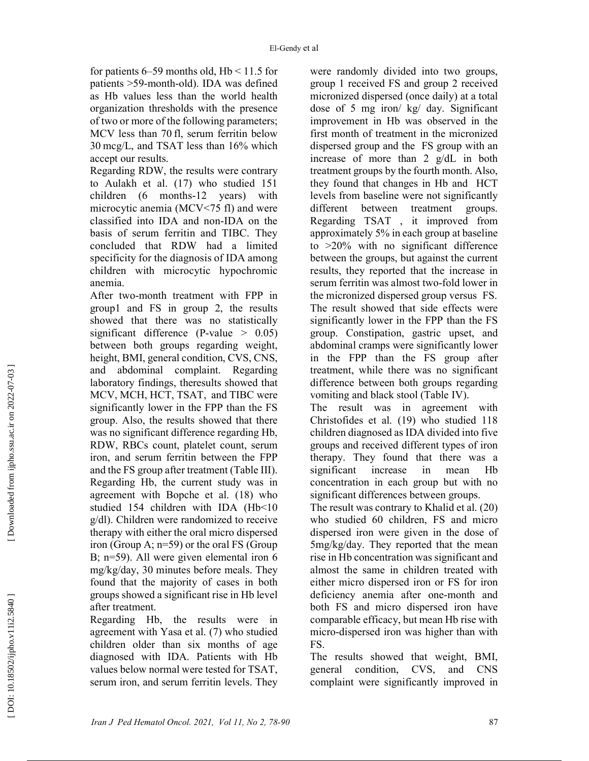for patients  $6-59$  months old,  $Hb < 11.5$  for patients >59-month-old). IDA was defined as Hb values less than the world health organization thresholds with the presence of two or more of the following parameters; MCV less than 70 fl, serum ferritin below 30 mcg/L, and TSAT less than 16% which accept our results.

Regarding RDW, the results were contrary to Aulakh et al. (17) who studied 151 children (6 months-12 years) with microcytic anemia (MCV<75 fl) and were classified into IDA and non-IDA on the basis of serum ferritin and TIBC. They concluded that RDW had a limited specificity for the diagnosis of IDA among children with microcytic hypochromic anemia.

After two-month treatment with FPP in group1 and FS in group 2, the results showed that there was no statistically significant difference (P-value  $> 0.05$ ) between both groups regarding weight, height, BMI, general condition, CVS, CNS, and abdominal complaint. Regarding laboratory findings, theresults showed that MCV, MCH, HCT, TSAT, and TIBC were significantly lower in the FPP than the FS group. Also, the results showed that there was no significant difference regarding Hb, RDW, RBCs count, platelet count, serum iron, and serum ferritin between the FPP and the FS group after treatment (Table III). Regarding Hb, the current study was in agreement with Bopche et al. (18) who studied 154 children with IDA (Hb<10 g/dl). Children were randomized to receive therapy with either the oral micro dispersed iron (Group A; n=59) or the oral FS (Group B; n=59). All were given elemental iron 6 mg/kg/day, 30 minutes before meals. They found that the majority of cases in both groups showed a significant rise in Hb level after treatment.

Regarding Hb, the results were in agreement with Yasa et al. (7) who studied children older than six months of age diagnosed with IDA. Patients with Hb values below normal were tested for TSAT, serum iron, and serum ferritin levels. They were randomly divided into two groups, group 1 received FS and group 2 received micronized dispersed (once daily) at a total dose of 5 mg iron/ kg/ day. Significant improvement in Hb was observed in the first month of treatment in the micronized dispersed group and the FS group with an increase of more than 2 g/dL in both treatment groups by the fourth month. Also, they found that changes in Hb and HCT levels from baseline were not significantly different between treatment groups. Regarding TSAT , it improved from approximately 5% in each group at baseline to >20% with no significant difference between the groups, but against the current results, they reported that the increase in serum ferritin was almost two-fold lower in the micronized dispersed group versus FS. The result showed that side effects were significantly lower in the FPP than the FS group. Constipation, gastric upset, and abdominal cramps were significantly lower in the FPP than the FS group after treatment, while there was no significant difference between both groups regarding vomiting and black stool (Table IV).

The result was in agreement with Christofides et al. (19) who studied 118 children diagnosed as IDA divided into five groups and received different types of iron therapy. They found that there was a significant increase in mean Hb concentration in each group but with no significant differences between groups.

The result was contrary to Khalid et al. (20) who studied 60 children, FS and micro dispersed iron were given in the dose of 5mg/kg/day. They reported that the mean rise in Hb concentration was significant and almost the same in children treated with either micro dispersed iron or FS for iron deficiency anemia after one-month and both FS and micro dispersed iron have comparable efficacy, but mean Hb rise with micro-dispersed iron was higher than with FS.

The results showed that weight, BMI, general condition, CVS, and CNS complaint were significantly improved in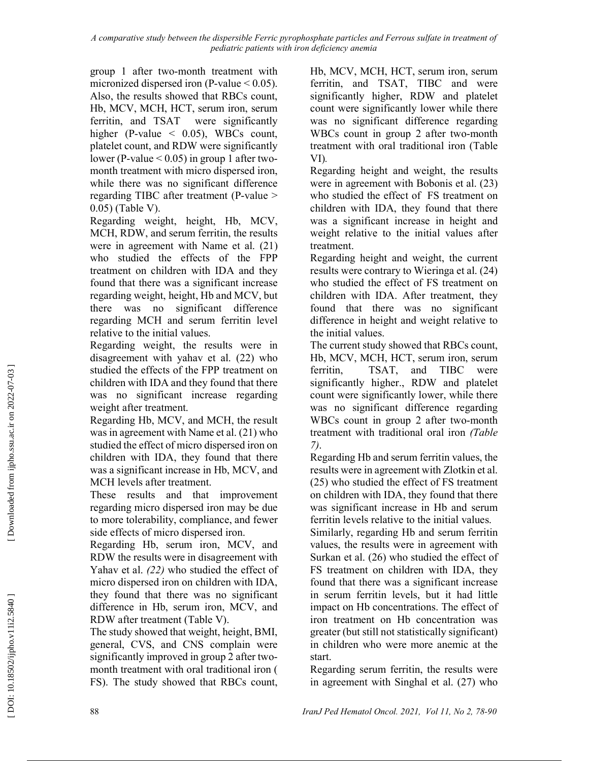group 1 after two-month treatment with micronized dispersed iron (P-value  $< 0.05$ ). Also, the results showed that RBCs count, Hb, MCV, MCH, HCT, serum iron, serum ferritin, and TSAT were significantly higher (P-value  $\leq$  0.05), WBCs count, platelet count, and RDW were significantly lower (P-value < 0.05) in group 1 after twomonth treatment with micro dispersed iron, while there was no significant difference regarding TIBC after treatment (P-value > 0.05) (Table V).

Regarding weight, height, Hb, MCV, MCH, RDW, and serum ferritin, the results were in agreement with Name et al. (21) who studied the effects of the FPP treatment on children with IDA and they found that there was a significant increase regarding weight, height, Hb and MCV, but there was no significant difference regarding MCH and serum ferritin level relative to the initial values.

Regarding weight, the results were in disagreement with yahav et al. (22) who studied the effects of the FPP treatment on children with IDA and they found that there was no significant increase regarding weight after treatment.

Regarding Hb, MCV, and MCH, the result was in agreement with Name et al. (21) who studied the effect of micro dispersed iron on children with IDA, they found that there was a significant increase in Hb, MCV, and MCH levels after treatment.

These results and that improvement regarding micro dispersed iron may be due to more tolerability, compliance, and fewer side effects of micro dispersed iron.

Regarding Hb, serum iron, MCV, and RDW the results were in disagreement with Yahav et al. (22) who studied the effect of micro dispersed iron on children with IDA, they found that there was no significant difference in Hb, serum iron, MCV, and RDW after treatment (Table V).

The study showed that weight, height, BMI, general, CVS, and CNS complain were significantly improved in group 2 after twomonth treatment with oral traditional iron ( FS). The study showed that RBCs count, Hb, MCV, MCH, HCT, serum iron, serum ferritin, and TSAT, TIBC and were significantly higher, RDW and platelet count were significantly lower while there was no significant difference regarding WBCs count in group 2 after two-month treatment with oral traditional iron (Table VI).

Regarding height and weight, the results were in agreement with Bobonis et al. (23) who studied the effect of FS treatment on children with IDA, they found that there was a significant increase in height and weight relative to the initial values after treatment.

Regarding height and weight, the current results were contrary to Wieringa et al. (24) who studied the effect of FS treatment on children with IDA. After treatment, they found that there was no significant difference in height and weight relative to the initial values.

The current study showed that RBCs count, Hb, MCV, MCH, HCT, serum iron, serum ferritin, TSAT, and TIBC were significantly higher., RDW and platelet count were significantly lower, while there was no significant difference regarding WBCs count in group 2 after two-month treatment with traditional oral iron (Table 7).

Regarding Hb and serum ferritin values, the results were in agreement with Zlotkin et al. (25) who studied the effect of FS treatment on children with IDA, they found that there was significant increase in Hb and serum ferritin levels relative to the initial values.

Similarly, regarding Hb and serum ferritin values, the results were in agreement with Surkan et al. (26) who studied the effect of FS treatment on children with IDA, they found that there was a significant increase in serum ferritin levels, but it had little impact on Hb concentrations. The effect of iron treatment on Hb concentration was greater (but still not statistically significant) in children who were more anemic at the start.

Regarding serum ferritin, the results were in agreement with Singhal et al. (27) who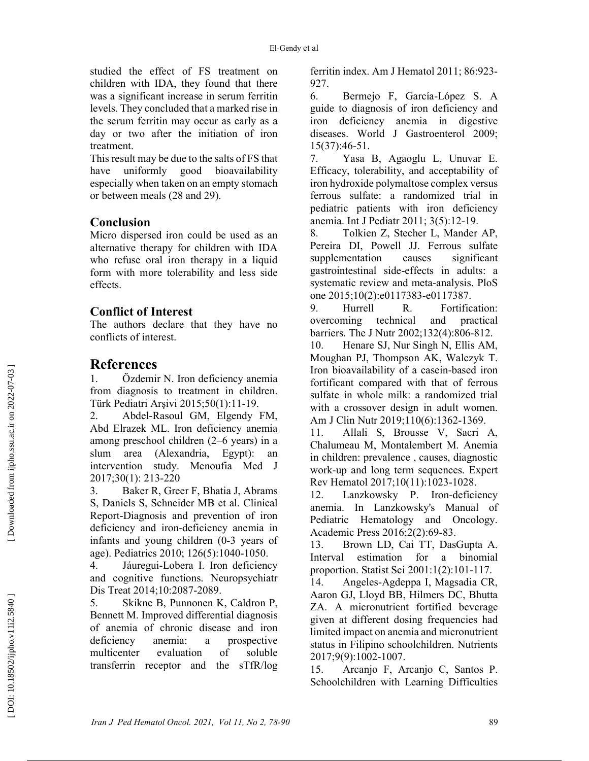studied the effect of FS treatment on children with IDA, they found that there was a significant increase in serum ferritin levels. They concluded that a marked rise in the serum ferritin may occur as early as a day or two after the initiation of iron treatment.

This result may be due to the salts of FS that have uniformly good bioavailability especially when taken on an empty stomach or between meals (28 and 29).

# Conclusion

Micro dispersed iron could be used as an alternative therapy for children with IDA who refuse oral iron therapy in a liquid form with more tolerability and less side effects.

## Conflict of Interest

The authors declare that they have no conflicts of interest.

# References

1. Özdemir N. Iron deficiency anemia from diagnosis to treatment in children. Türk Pediatri Arşivi 2015;50(1):11-19.

2. Abdel-Rasoul GM, Elgendy FM, Abd Elrazek ML. Iron deficiency anemia among preschool children (2–6 years) in a slum area (Alexandria, Egypt): an intervention study. Menoufia Med J 2017;30(1): 213-220

3. Baker R, Greer F, Bhatia J, Abrams S, Daniels S, Schneider MB et al. Clinical Report-Diagnosis and prevention of iron deficiency and iron-deficiency anemia in infants and young children (0-3 years of age). Pediatrics 2010; 126(5):1040-1050.

4. Jáuregui-Lobera I. Iron deficiency and cognitive functions. Neuropsychiatr Dis Treat 2014;10:2087-2089.

5. Skikne B, Punnonen K, Caldron P, Bennett M. Improved differential diagnosis of anemia of chronic disease and iron deficiency anemia: a prospective multicenter evaluation of soluble transferrin receptor and the sTfR/log ferritin index. Am J Hematol 2011; 86:923- 927.

6. Bermejo F, García-López S. A guide to diagnosis of iron deficiency and iron deficiency anemia in digestive diseases. World J Gastroenterol 2009; 15(37):46-51.

7. Yasa B, Agaoglu L, Unuvar E. Efficacy, tolerability, and acceptability of iron hydroxide polymaltose complex versus ferrous sulfate: a randomized trial in pediatric patients with iron deficiency anemia. Int J Pediatr 2011; 3(5):12-19.

8. Tolkien Z, Stecher L, Mander AP, Pereira DI, Powell JJ. Ferrous sulfate supplementation causes significant gastrointestinal side-effects in adults: a systematic review and meta-analysis. PloS one 2015;10(2):e0117383-e0117387.

9. Hurrell R. Fortification: overcoming technical and practical barriers. The J Nutr 2002;132(4):806-812.

10. Henare SJ, Nur Singh N, Ellis AM, Moughan PJ, Thompson AK, Walczyk T. Iron bioavailability of a casein-based iron fortificant compared with that of ferrous sulfate in whole milk: a randomized trial with a crossover design in adult women. Am J Clin Nutr 2019;110(6):1362-1369.

11. Allali S, Brousse V, Sacri A, Chalumeau M, Montalembert M. Anemia in children: prevalence , causes, diagnostic work-up and long term sequences. Expert Rev Hematol 2017;10(11):1023-1028.

12. Lanzkowsky P. Iron-deficiency anemia. In Lanzkowsky's Manual of Pediatric Hematology and Oncology. Academic Press 2016;2(2):69-83.

13. Brown LD, Cai TT, DasGupta A. Interval estimation for a binomial proportion. Statist Sci 2001:1(2):101-117.

14. Angeles-Agdeppa I, Magsadia CR, Aaron GJ, Lloyd BB, Hilmers DC, Bhutta ZA. A micronutrient fortified beverage given at different dosing frequencies had limited impact on anemia and micronutrient status in Filipino schoolchildren. Nutrients 2017;9(9):1002-1007.

15. Arcanjo F, Arcanjo C, Santos P. Schoolchildren with Learning Difficulties